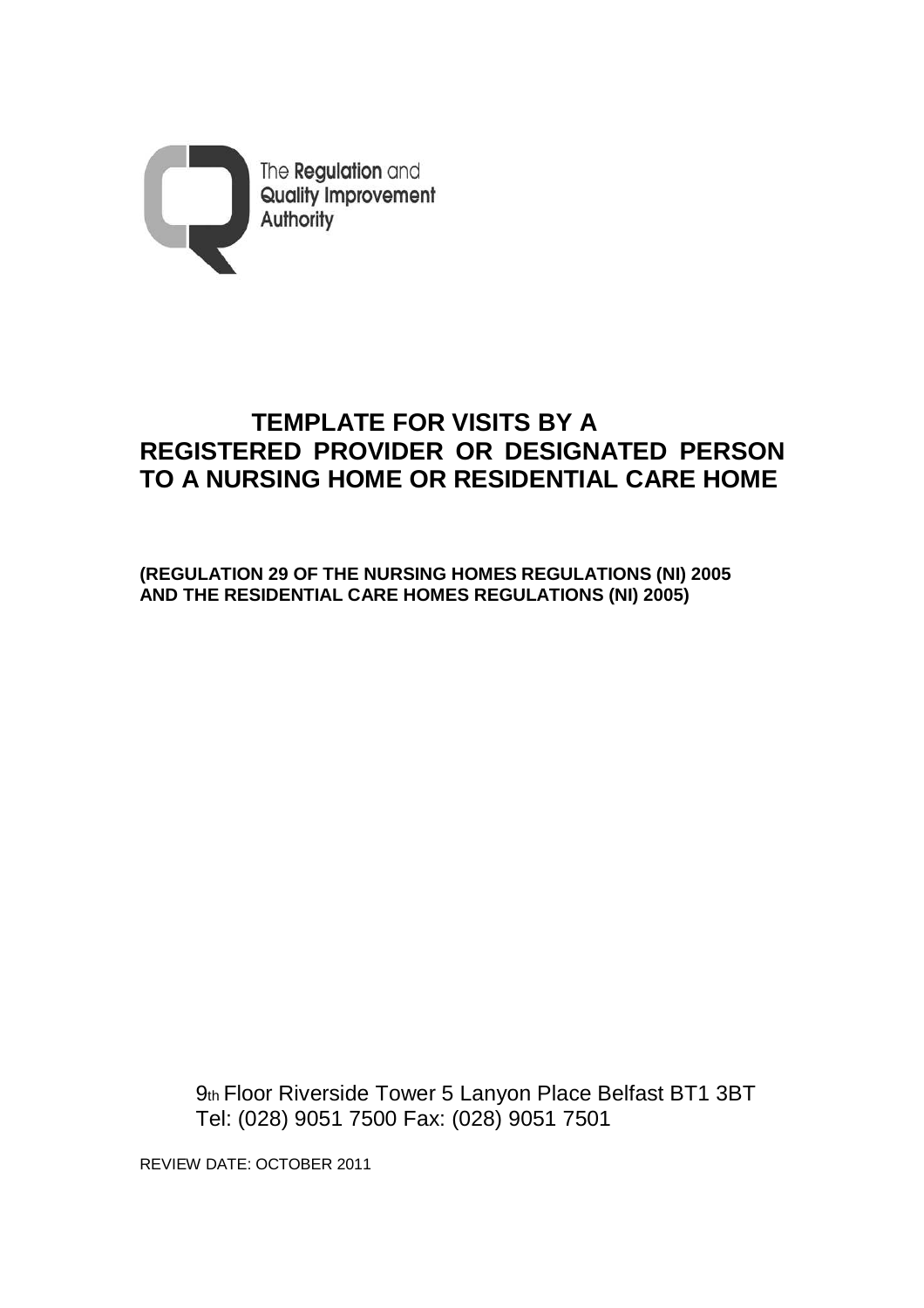

# **TEMPLATE FOR VISITS BY A REGISTERED PROVIDER OR DESIGNATED PERSON TO A NURSING HOME OR RESIDENTIAL CARE HOME**

**(REGULATION 29 OF THE NURSING HOMES REGULATIONS (NI) 2005 AND THE RESIDENTIAL CARE HOMES REGULATIONS (NI) 2005)** 

 9th Floor Riverside Tower 5 Lanyon Place Belfast BT1 3BT Tel: (028) 9051 7500 Fax: (028) 9051 7501

REVIEW DATE: OCTOBER 2011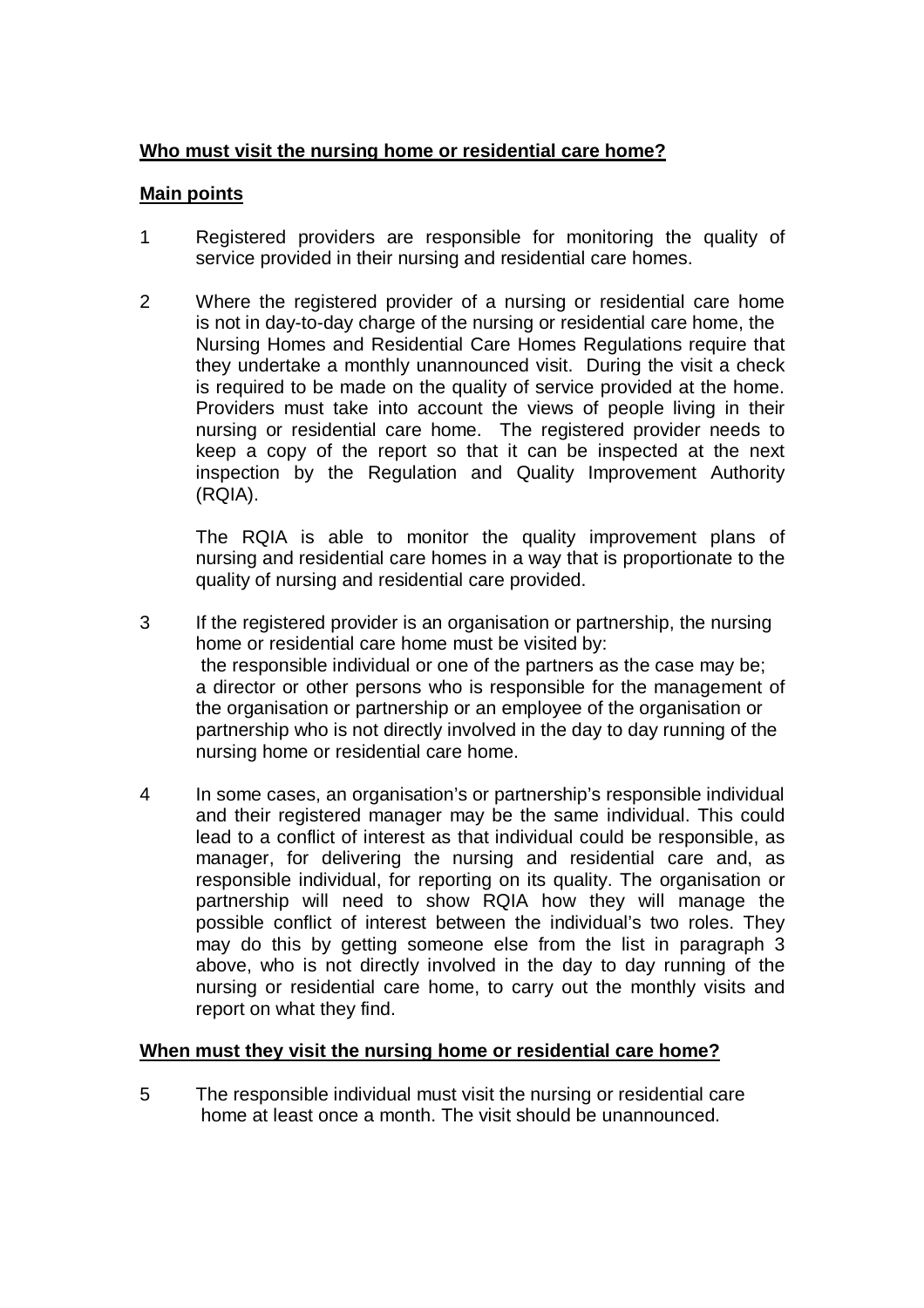## **Who must visit the nursing home or residential care home?**

#### **Main points**

- 1 Registered providers are responsible for monitoring the quality of service provided in their nursing and residential care homes.
- 2 Where the registered provider of a nursing or residential care home is not in day-to-day charge of the nursing or residential care home, the Nursing Homes and Residential Care Homes Regulations require that they undertake a monthly unannounced visit. During the visit a check is required to be made on the quality of service provided at the home. Providers must take into account the views of people living in their nursing or residential care home. The registered provider needs to keep a copy of the report so that it can be inspected at the next inspection by the Regulation and Quality Improvement Authority (RQIA).

 The RQIA is able to monitor the quality improvement plans of nursing and residential care homes in a way that is proportionate to the quality of nursing and residential care provided.

- 3 If the registered provider is an organisation or partnership, the nursing home or residential care home must be visited by: the responsible individual or one of the partners as the case may be; a director or other persons who is responsible for the management of the organisation or partnership or an employee of the organisation or partnership who is not directly involved in the day to day running of the nursing home or residential care home.
- 4 In some cases, an organisation's or partnership's responsible individual and their registered manager may be the same individual. This could lead to a conflict of interest as that individual could be responsible, as manager, for delivering the nursing and residential care and, as responsible individual, for reporting on its quality. The organisation or partnership will need to show RQIA how they will manage the possible conflict of interest between the individual's two roles. They may do this by getting someone else from the list in paragraph 3 above, who is not directly involved in the day to day running of the nursing or residential care home, to carry out the monthly visits and report on what they find.

#### **When must they visit the nursing home or residential care home?**

5 The responsible individual must visit the nursing or residential care home at least once a month. The visit should be unannounced.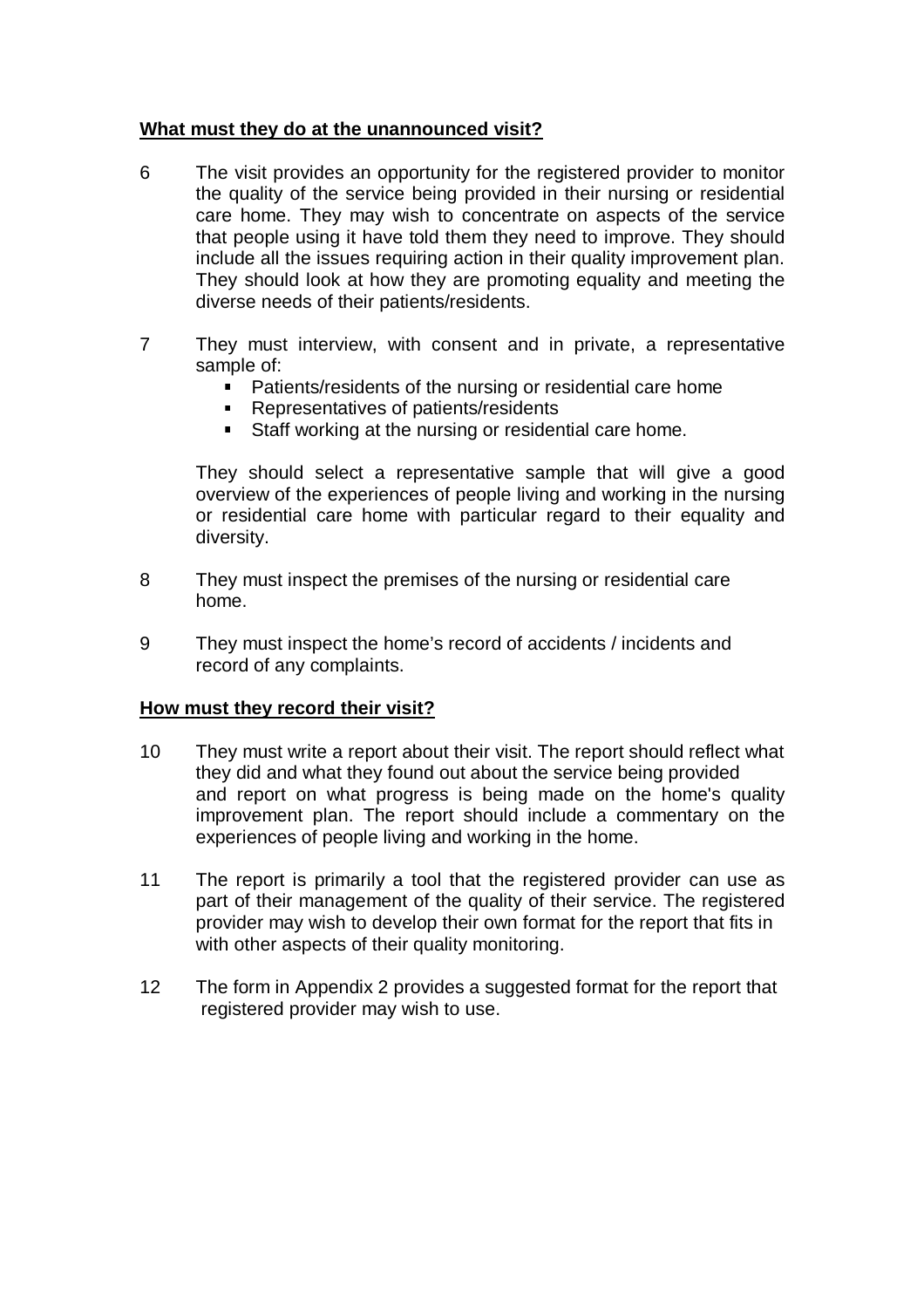#### **What must they do at the unannounced visit?**

- 6 The visit provides an opportunity for the registered provider to monitor the quality of the service being provided in their nursing or residential care home. They may wish to concentrate on aspects of the service that people using it have told them they need to improve. They should include all the issues requiring action in their quality improvement plan. They should look at how they are promoting equality and meeting the diverse needs of their patients/residents.
- 7 They must interview, with consent and in private, a representative sample of:
	- **Patients/residents of the nursing or residential care home**
	- Representatives of patients/residents
	- Staff working at the nursing or residential care home.

 They should select a representative sample that will give a good overview of the experiences of people living and working in the nursing or residential care home with particular regard to their equality and diversity.

- 8 They must inspect the premises of the nursing or residential care home.
- 9 They must inspect the home's record of accidents / incidents and record of any complaints.

#### **How must they record their visit?**

- 10 They must write a report about their visit. The report should reflect what they did and what they found out about the service being provided and report on what progress is being made on the home's quality improvement plan. The report should include a commentary on the experiences of people living and working in the home.
- 11 The report is primarily a tool that the registered provider can use as part of their management of the quality of their service. The registered provider may wish to develop their own format for the report that fits in with other aspects of their quality monitoring.
- 12 The form in Appendix 2 provides a suggested format for the report that registered provider may wish to use.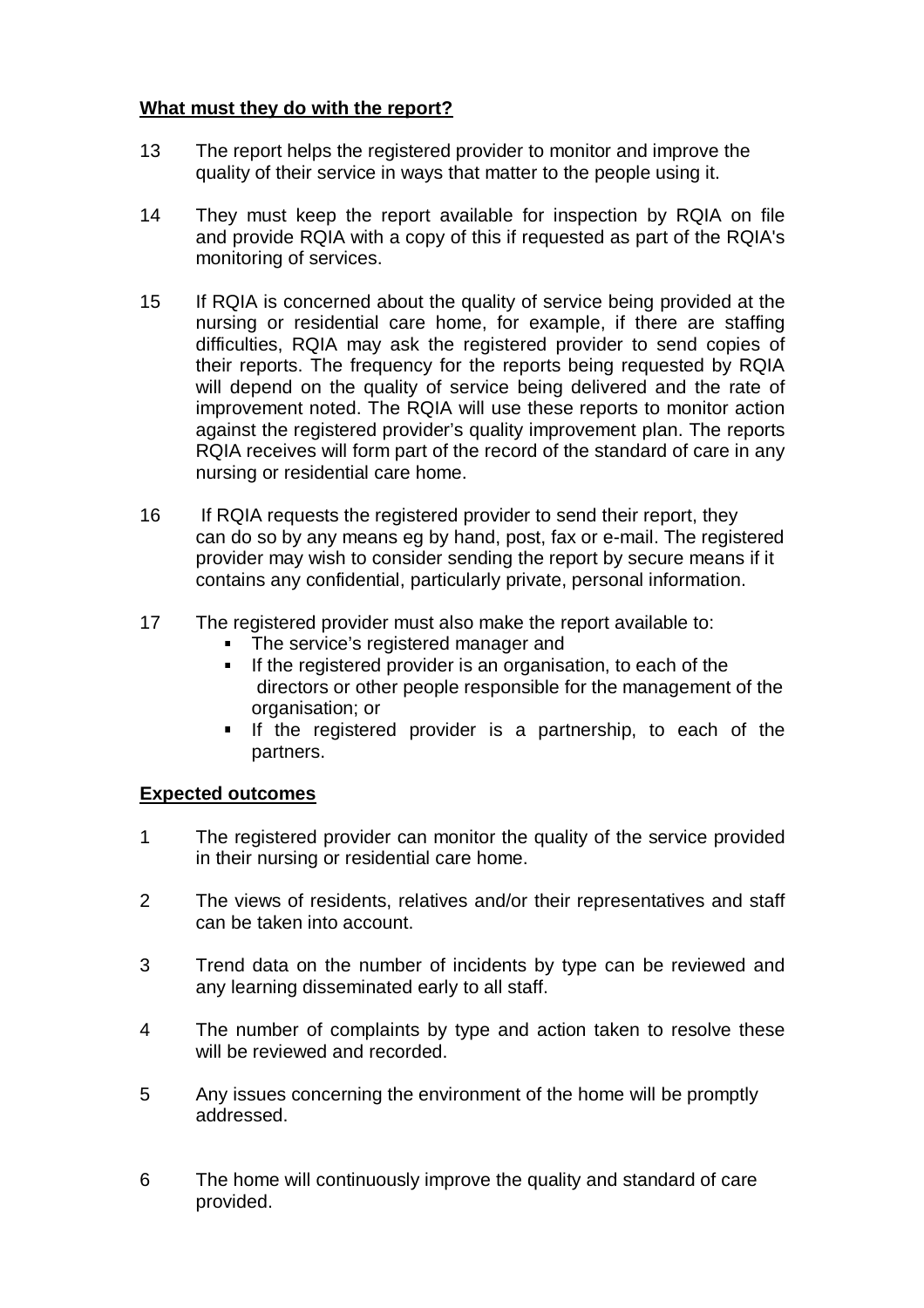## **What must they do with the report?**

- 13 The report helps the registered provider to monitor and improve the quality of their service in ways that matter to the people using it.
- 14 They must keep the report available for inspection by RQIA on file and provide RQIA with a copy of this if requested as part of the RQIA's monitoring of services.
- 15 If RQIA is concerned about the quality of service being provided at the nursing or residential care home, for example, if there are staffing difficulties, RQIA may ask the registered provider to send copies of their reports. The frequency for the reports being requested by RQIA will depend on the quality of service being delivered and the rate of improvement noted. The RQIA will use these reports to monitor action against the registered provider's quality improvement plan. The reports RQIA receives will form part of the record of the standard of care in any nursing or residential care home.
- 16 If RQIA requests the registered provider to send their report, they can do so by any means eg by hand, post, fax or e-mail. The registered provider may wish to consider sending the report by secure means if it contains any confidential, particularly private, personal information.
- 17 The registered provider must also make the report available to:
	- The service's registered manager and
	- If the registered provider is an organisation, to each of the directors or other people responsible for the management of the organisation; or
	- **If the registered provider is a partnership, to each of the** partners.

#### **Expected outcomes**

- 1 The registered provider can monitor the quality of the service provided in their nursing or residential care home.
- 2 The views of residents, relatives and/or their representatives and staff can be taken into account.
- 3 Trend data on the number of incidents by type can be reviewed and any learning disseminated early to all staff.
- 4 The number of complaints by type and action taken to resolve these will be reviewed and recorded.
- 5 Any issues concerning the environment of the home will be promptly addressed.
- 6 The home will continuously improve the quality and standard of care provided.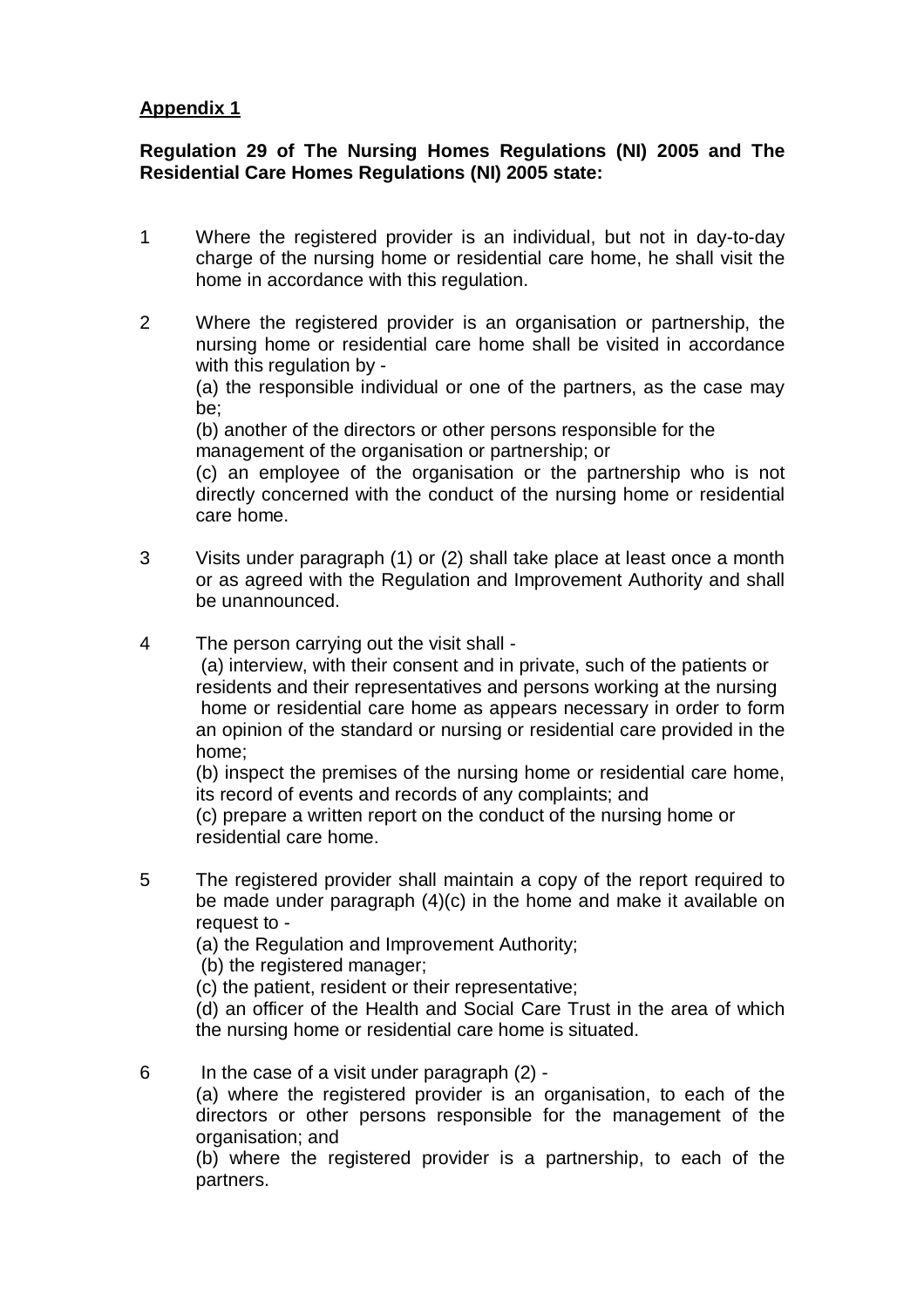## **Appendix 1**

## **Regulation 29 of The Nursing Homes Regulations (NI) 2005 and The Residential Care Homes Regulations (NI) 2005 state:**

- 1 Where the registered provider is an individual, but not in day-to-day charge of the nursing home or residential care home, he shall visit the home in accordance with this regulation.
- 2 Where the registered provider is an organisation or partnership, the nursing home or residential care home shall be visited in accordance with this regulation by -

 (a) the responsible individual or one of the partners, as the case may be;

 (b) another of the directors or other persons responsible for the management of the organisation or partnership; or

 (c) an employee of the organisation or the partnership who is not directly concerned with the conduct of the nursing home or residential care home.

- 3 Visits under paragraph (1) or (2) shall take place at least once a month or as agreed with the Regulation and Improvement Authority and shall be unannounced.
- 4 The person carrying out the visit shall -

 (a) interview, with their consent and in private, such of the patients or residents and their representatives and persons working at the nursing home or residential care home as appears necessary in order to form an opinion of the standard or nursing or residential care provided in the home;

 (b) inspect the premises of the nursing home or residential care home, its record of events and records of any complaints; and

 (c) prepare a written report on the conduct of the nursing home or residential care home.

5 The registered provider shall maintain a copy of the report required to be made under paragraph (4)(c) in the home and make it available on request to -

(a) the Regulation and Improvement Authority;

- (b) the registered manager;
- (c) the patient, resident or their representative;

 (d) an officer of the Health and Social Care Trust in the area of which the nursing home or residential care home is situated.

6 In the case of a visit under paragraph (2) -

 (a) where the registered provider is an organisation, to each of the directors or other persons responsible for the management of the organisation; and

 (b) where the registered provider is a partnership, to each of the partners.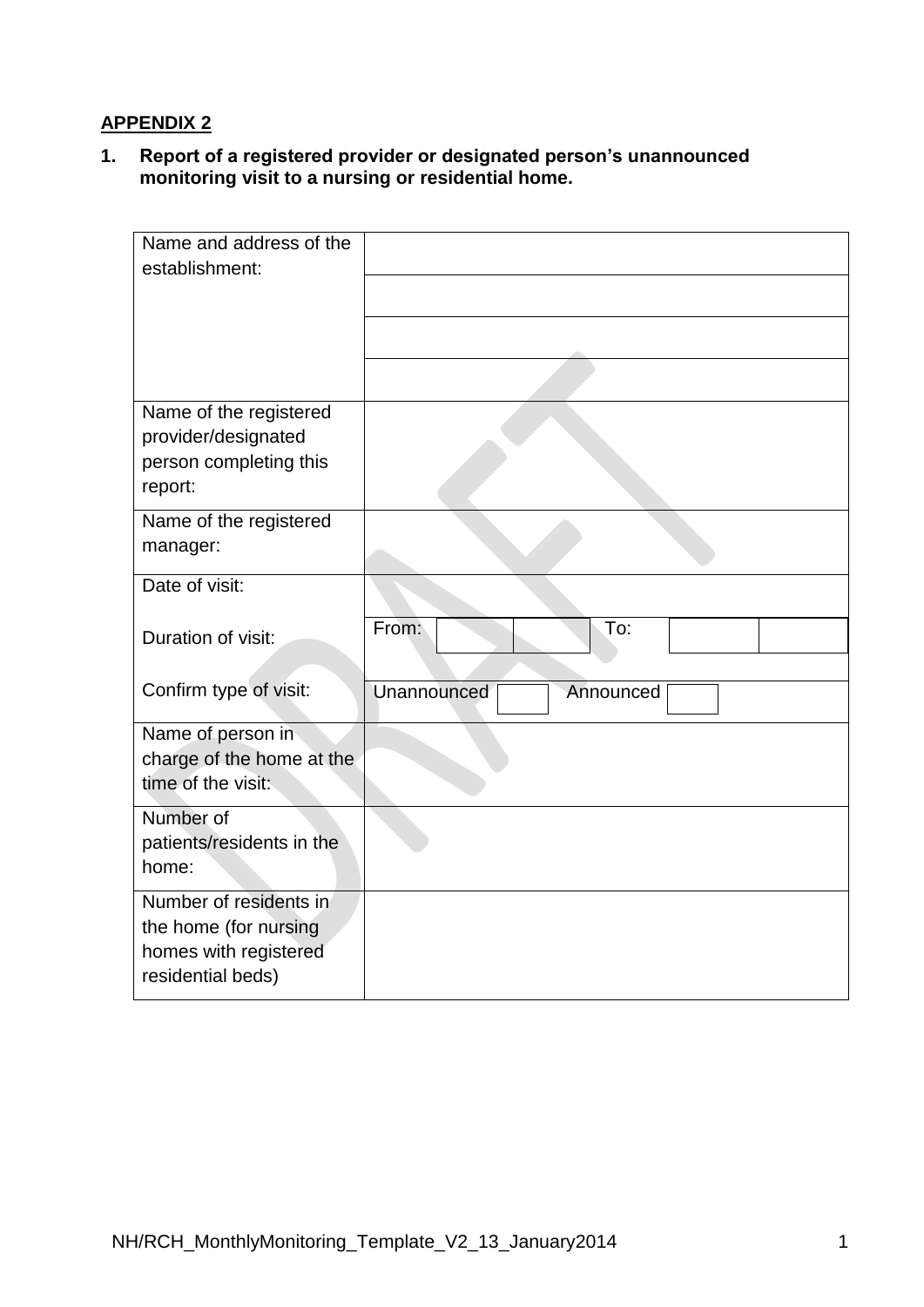# **APPENDIX 2**

**1. Report of a registered provider or designated person's unannounced monitoring visit to a nursing or residential home.** 

| Name and address of the                         |                          |
|-------------------------------------------------|--------------------------|
| establishment:                                  |                          |
|                                                 |                          |
|                                                 |                          |
|                                                 |                          |
| Name of the registered                          |                          |
| provider/designated                             |                          |
| person completing this<br>report:               |                          |
| Name of the registered                          |                          |
| manager:                                        |                          |
| Date of visit:                                  |                          |
| Duration of visit:                              | From:<br>To:             |
| Confirm type of visit:                          | Unannounced<br>Announced |
|                                                 |                          |
| Name of person in                               |                          |
| charge of the home at the<br>time of the visit: |                          |
|                                                 |                          |
| Number of<br>patients/residents in the          |                          |
| home:                                           |                          |
| Number of residents in                          |                          |
| the home (for nursing                           |                          |
| homes with registered                           |                          |
| residential beds)                               |                          |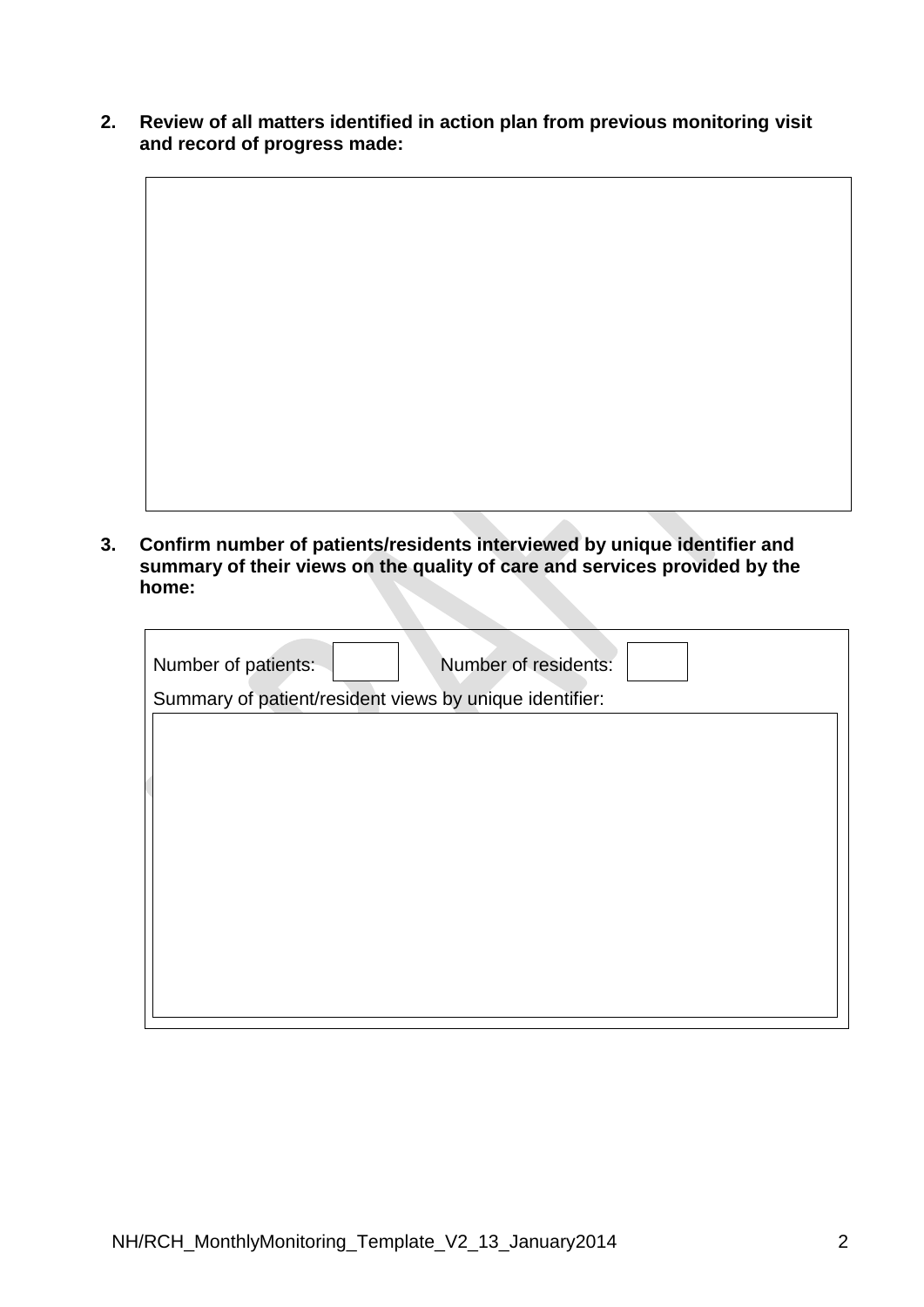**2. Review of all matters identified in action plan from previous monitoring visit and record of progress made:**

**3. Confirm number of patients/residents interviewed by unique identifier and summary of their views on the quality of care and services provided by the home:** 

| Number of patients:                                     | Number of residents: |
|---------------------------------------------------------|----------------------|
| Summary of patient/resident views by unique identifier: |                      |
|                                                         |                      |
|                                                         |                      |
|                                                         |                      |
|                                                         |                      |
|                                                         |                      |
|                                                         |                      |
|                                                         |                      |
|                                                         |                      |
|                                                         |                      |
|                                                         |                      |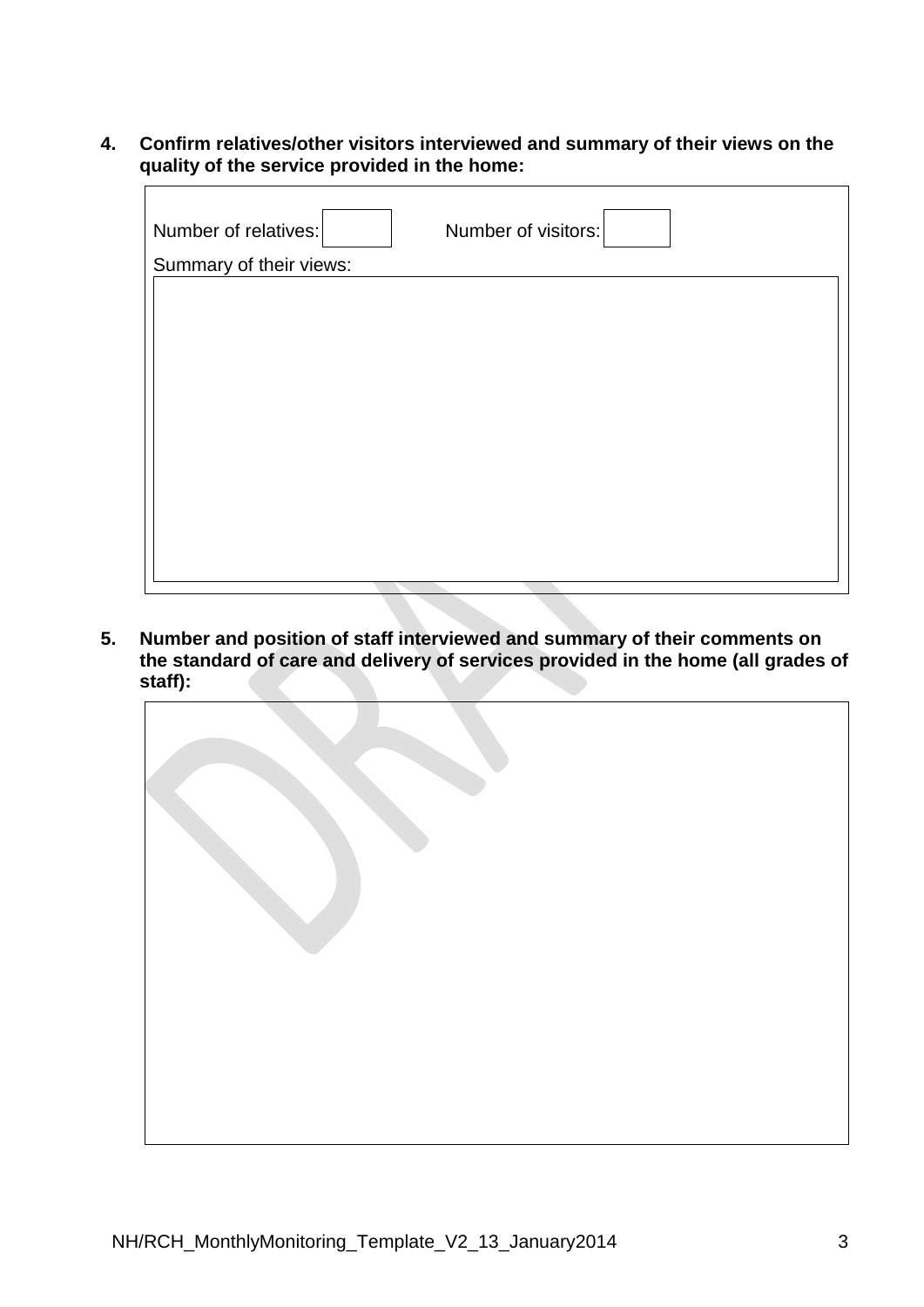**4. Confirm relatives/other visitors interviewed and summary of their views on the quality of the service provided in the home:**

| Number of relatives:    | Number of visitors: |
|-------------------------|---------------------|
| Summary of their views: |                     |
|                         |                     |
|                         |                     |
|                         |                     |
|                         |                     |
|                         |                     |
|                         |                     |
|                         |                     |
|                         |                     |
|                         |                     |
|                         |                     |

**5. Number and position of staff interviewed and summary of their comments on the standard of care and delivery of services provided in the home (all grades of staff):**

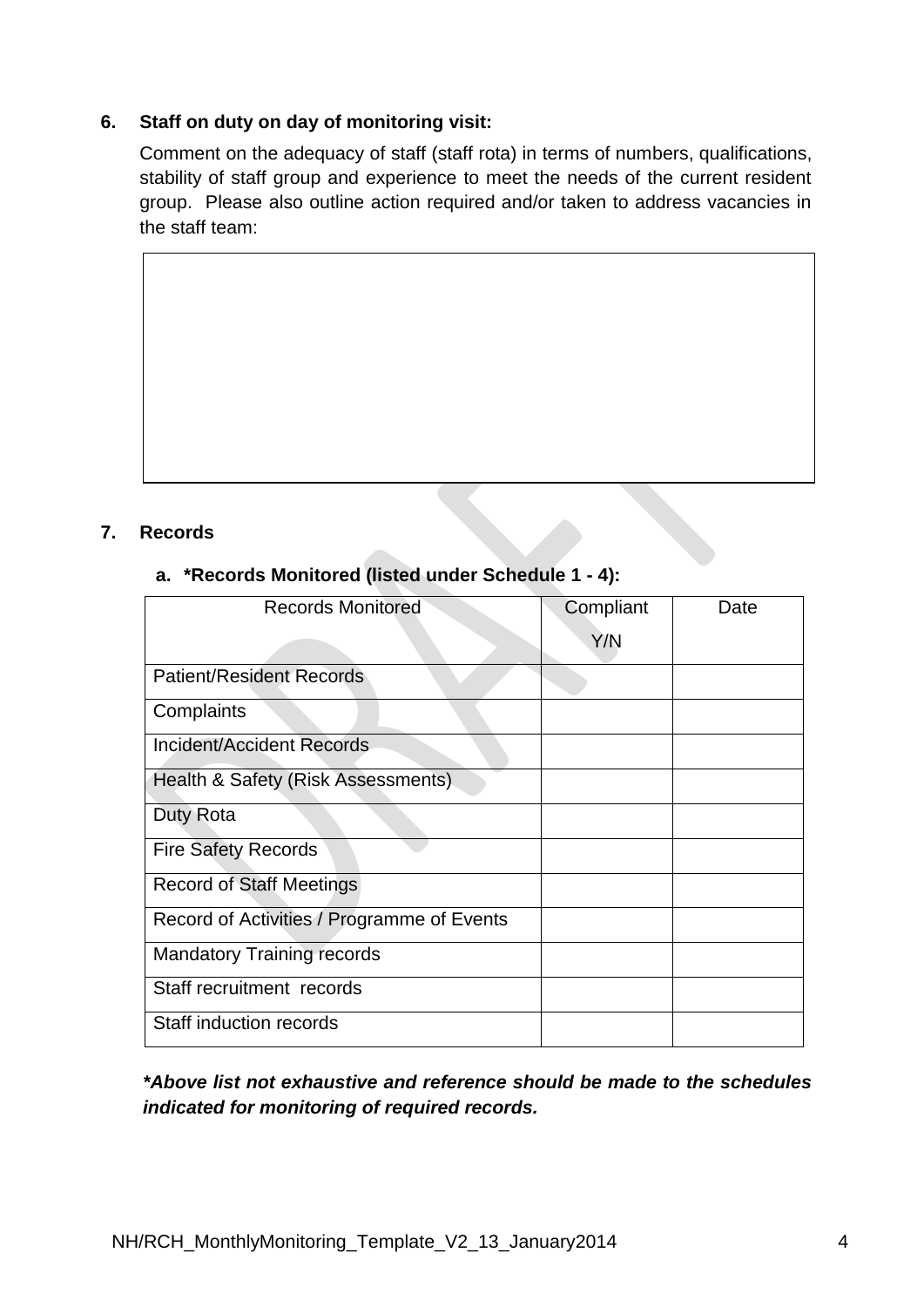## **6. Staff on duty on day of monitoring visit:**

Comment on the adequacy of staff (staff rota) in terms of numbers, qualifications, stability of staff group and experience to meet the needs of the current resident group. Please also outline action required and/or taken to address vacancies in the staff team:

## **7. Records**

# **a. \*Records Monitored (listed under Schedule 1 - 4):**

| <b>Records Monitored</b>                   | Compliant | Date |
|--------------------------------------------|-----------|------|
|                                            | Y/N       |      |
| <b>Patient/Resident Records</b>            |           |      |
| Complaints                                 |           |      |
| Incident/Accident Records                  |           |      |
| Health & Safety (Risk Assessments)         |           |      |
| Duty Rota                                  |           |      |
| <b>Fire Safety Records</b>                 |           |      |
| <b>Record of Staff Meetings</b>            |           |      |
| Record of Activities / Programme of Events |           |      |
| <b>Mandatory Training records</b>          |           |      |
| Staff recruitment records                  |           |      |
| <b>Staff induction records</b>             |           |      |

 *\*Above list not exhaustive and reference should be made to the schedules indicated for monitoring of required records.*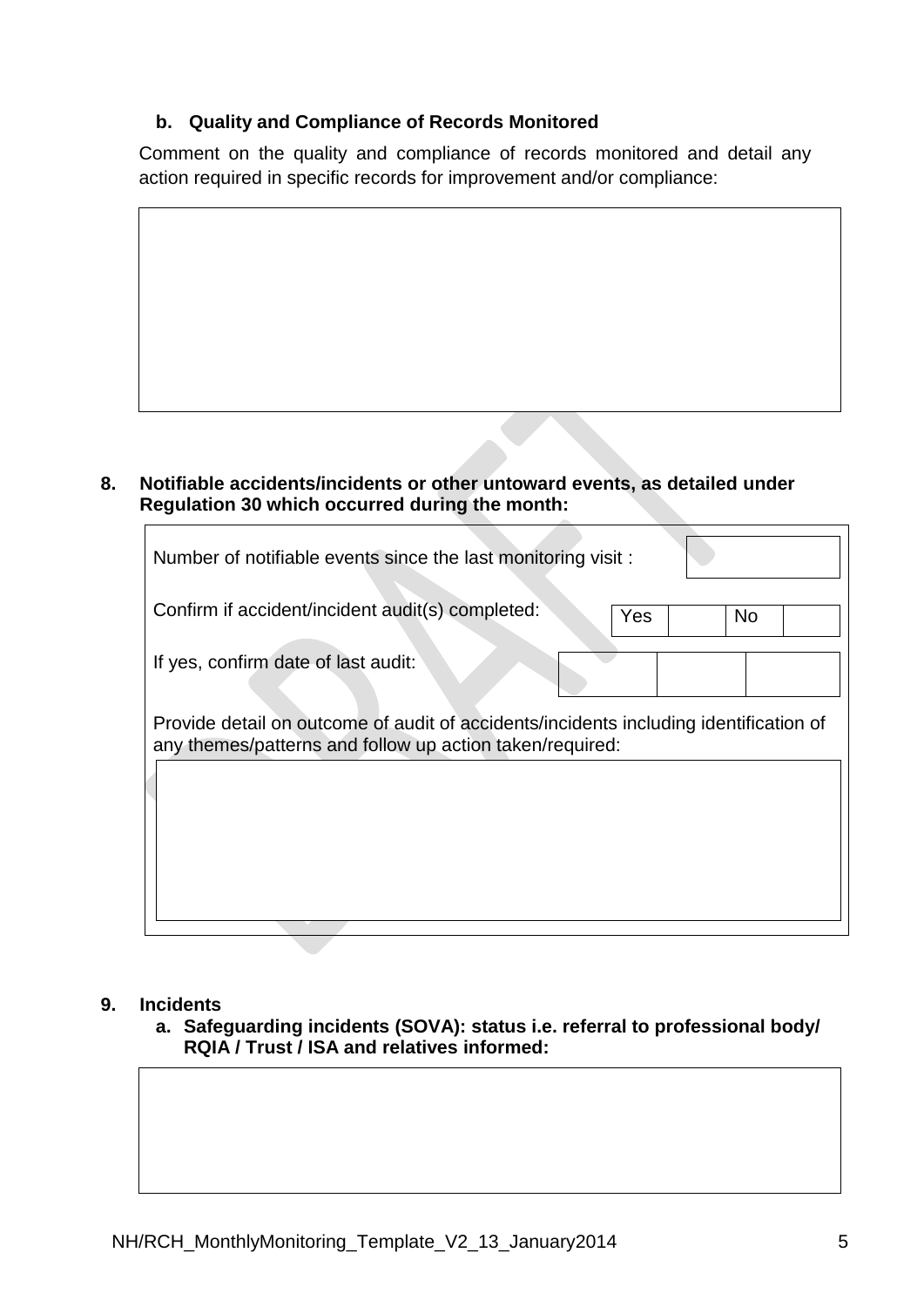# **b. Quality and Compliance of Records Monitored**

Comment on the quality and compliance of records monitored and detail any action required in specific records for improvement and/or compliance:

## **8. Notifiable accidents/incidents or other untoward events, as detailed under Regulation 30 which occurred during the month:**

| Number of notifiable events since the last monitoring visit:                                                                                      |     |           |  |
|---------------------------------------------------------------------------------------------------------------------------------------------------|-----|-----------|--|
| Confirm if accident/incident audit(s) completed:                                                                                                  | Yes | <b>No</b> |  |
| If yes, confirm date of last audit:                                                                                                               |     |           |  |
| Provide detail on outcome of audit of accidents/incidents including identification of<br>any themes/patterns and follow up action taken/required: |     |           |  |

#### **9. Incidents**

**a. Safeguarding incidents (SOVA): status i.e. referral to professional body/ RQIA / Trust / ISA and relatives informed:**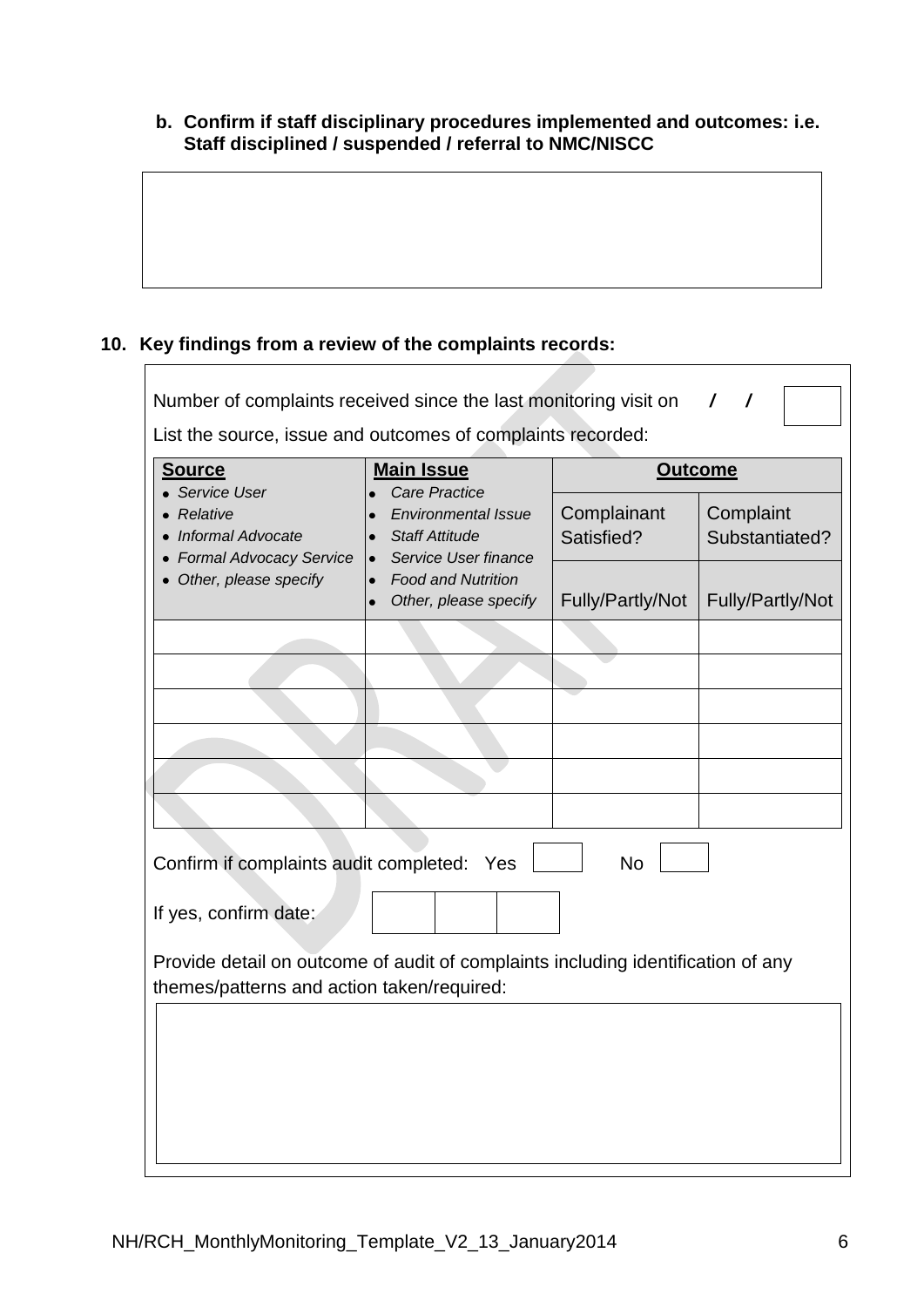### **b. Confirm if staff disciplinary procedures implemented and outcomes: i.e. Staff disciplined / suspended / referral to NMC/NISCC**

# **10. Key findings from a review of the complaints records:**

| Number of complaints received since the last monitoring visit on<br>$\prime$                                                   |                                                                                                                               |                           |                             |  |
|--------------------------------------------------------------------------------------------------------------------------------|-------------------------------------------------------------------------------------------------------------------------------|---------------------------|-----------------------------|--|
| List the source, issue and outcomes of complaints recorded:                                                                    |                                                                                                                               |                           |                             |  |
| <b>Source</b><br>• Service User                                                                                                | <b>Main Issue</b>                                                                                                             | <b>Outcome</b>            |                             |  |
| Relative<br><b>Informal Advocate</b><br><b>Formal Advocacy Service</b>                                                         | <b>Care Practice</b><br><b>Environmental Issue</b><br><b>Staff Attitude</b><br>$\bullet$<br>Service User finance<br>$\bullet$ | Complainant<br>Satisfied? | Complaint<br>Substantiated? |  |
| Other, please specify                                                                                                          | <b>Food and Nutrition</b><br>$\bullet$<br>Other, please specify<br>$\bullet$                                                  | Fully/Partly/Not          | Fully/Partly/Not            |  |
|                                                                                                                                |                                                                                                                               |                           |                             |  |
|                                                                                                                                |                                                                                                                               |                           |                             |  |
|                                                                                                                                |                                                                                                                               |                           |                             |  |
|                                                                                                                                |                                                                                                                               |                           |                             |  |
|                                                                                                                                |                                                                                                                               |                           |                             |  |
|                                                                                                                                |                                                                                                                               |                           |                             |  |
| Confirm if complaints audit completed: Yes<br><b>No</b>                                                                        |                                                                                                                               |                           |                             |  |
| If yes, confirm date:                                                                                                          |                                                                                                                               |                           |                             |  |
| Provide detail on outcome of audit of complaints including identification of any<br>themes/patterns and action taken/required: |                                                                                                                               |                           |                             |  |
|                                                                                                                                |                                                                                                                               |                           |                             |  |
|                                                                                                                                |                                                                                                                               |                           |                             |  |
|                                                                                                                                |                                                                                                                               |                           |                             |  |
|                                                                                                                                |                                                                                                                               |                           |                             |  |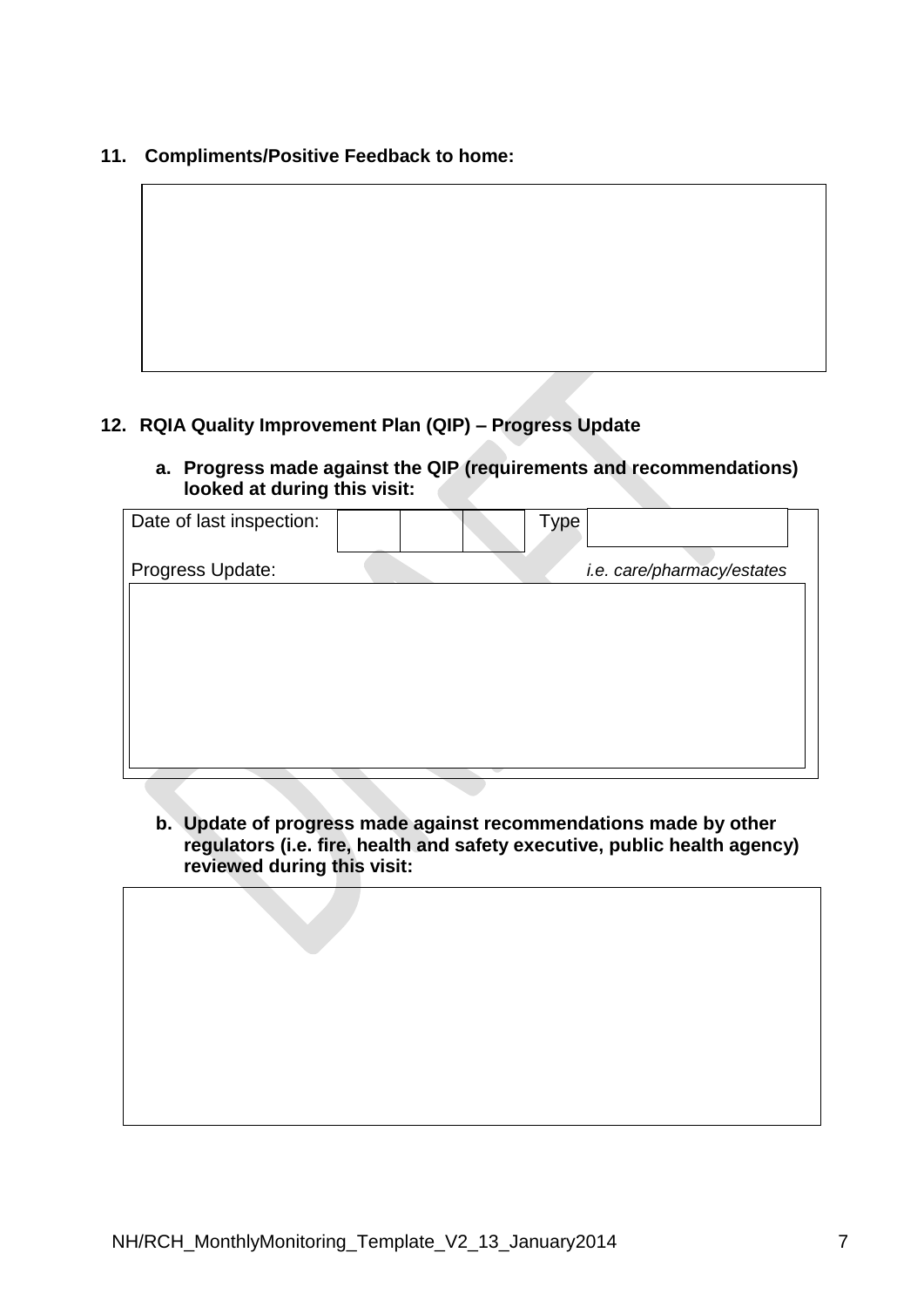**11. Compliments/Positive Feedback to home:**

# **12. RQIA Quality Improvement Plan (QIP) – Progress Update**

**a. Progress made against the QIP (requirements and recommendations) looked at during this visit:** 

| Date of last inspection: | Type   |                            |  |
|--------------------------|--------|----------------------------|--|
| Progress Update:         |        | i.e. care/pharmacy/estates |  |
|                          |        |                            |  |
|                          |        |                            |  |
|                          |        |                            |  |
|                          |        |                            |  |
|                          |        |                            |  |
|                          |        |                            |  |
|                          |        |                            |  |
|                          | $\sim$ |                            |  |

**b. Update of progress made against recommendations made by other regulators (i.e. fire, health and safety executive, public health agency) reviewed during this visit:**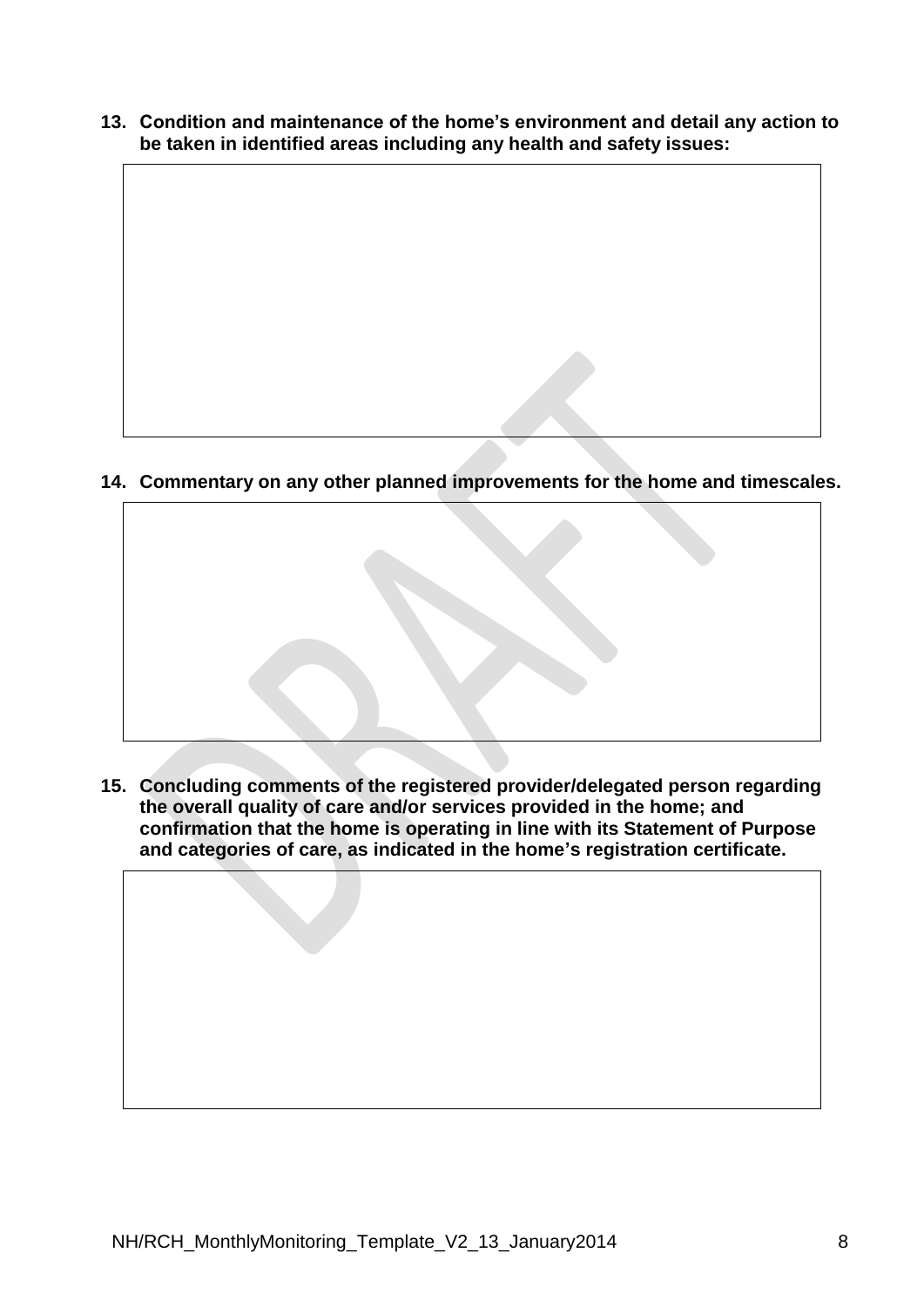**13. Condition and maintenance of the home's environment and detail any action to be taken in identified areas including any health and safety issues:**

**14. Commentary on any other planned improvements for the home and timescales.**



**15. Concluding comments of the registered provider/delegated person regarding the overall quality of care and/or services provided in the home; and confirmation that the home is operating in line with its Statement of Purpose and categories of care, as indicated in the home's registration certificate.**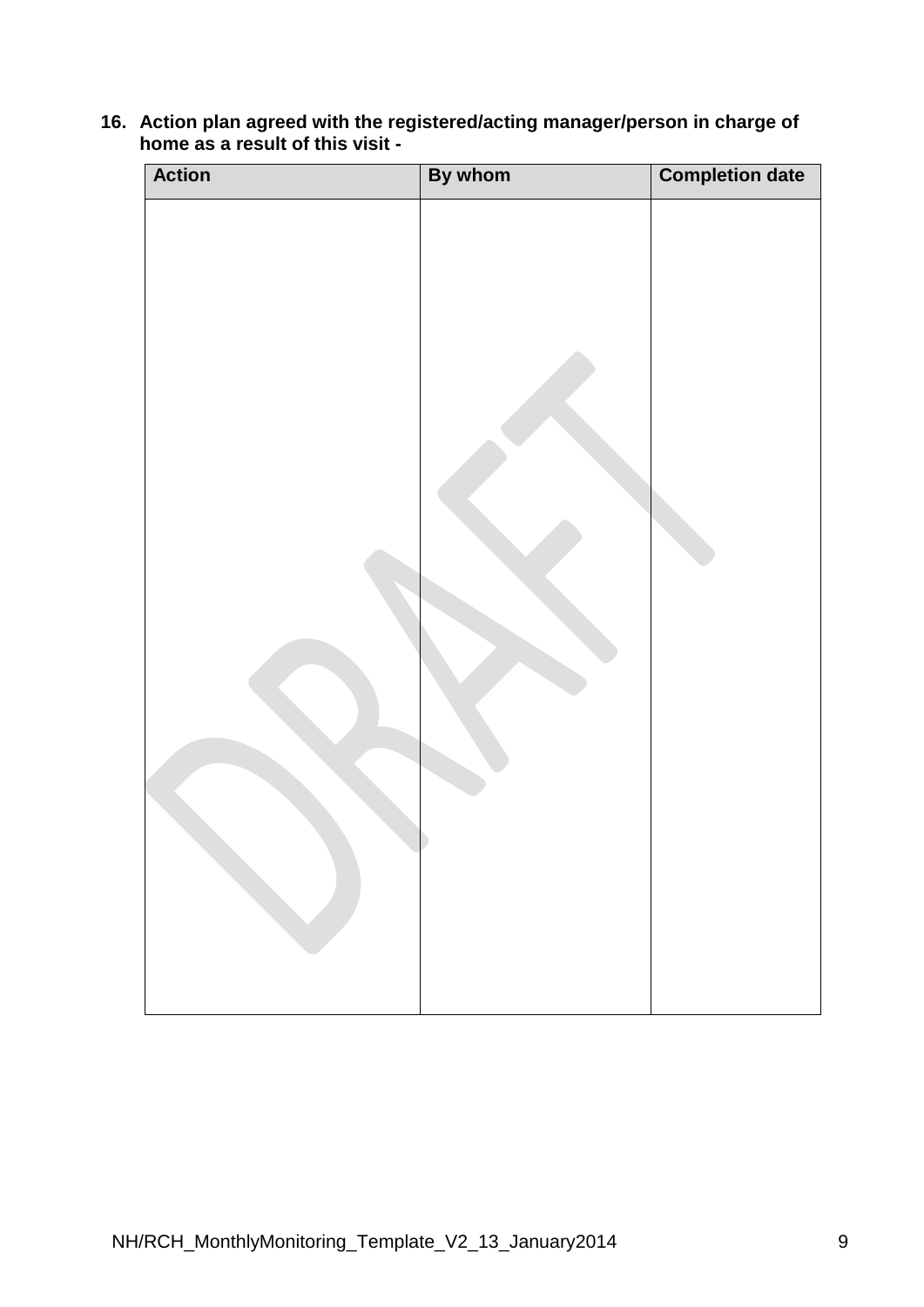| <b>Action</b> | By whom | <b>Completion date</b> |
|---------------|---------|------------------------|
|               |         |                        |
|               |         |                        |
|               |         |                        |
|               |         |                        |
|               |         |                        |
|               |         |                        |
|               |         |                        |
|               |         |                        |

**16. Action plan agreed with the registered/acting manager/person in charge of home as a result of this visit -**